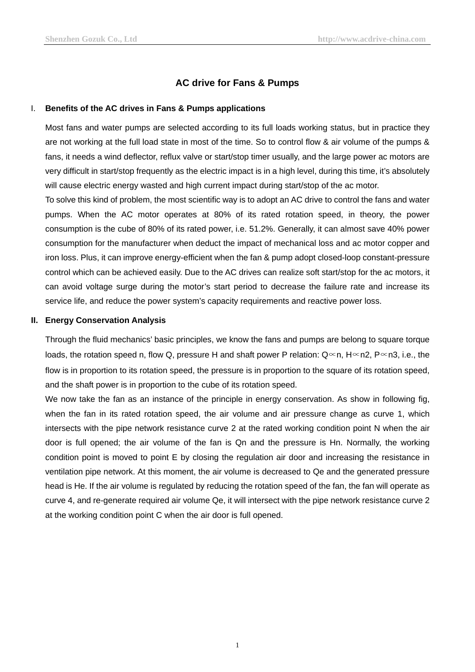# **AC drive for Fans & Pumps**

#### I. **Benefits of the [AC drives](http://www.acdrive-china.com/products/ac-drive-manufacturer-2532.htm) in Fans & Pumps applications**

Most fans and water pumps are selected according to its full loads working status, but in practice they are not working at the full load state in most of the time. So to control flow & air volume of the pumps & fans, it needs a wind deflector, reflux valve or start/stop timer usually, and the large power ac motors are very difficult in start/stop frequently as the electric impact is in a high level, during this time, it's absolutely will cause electric energy wasted and high current impact during start/stop of the ac motor.

To solve this kind of problem, the most scientific way is to adopt an AC drive to control the fans and water pumps. When the AC motor operates at 80% of its rated rotation speed, in theory, the power consumption is the cube of 80% of its rated power, i.e. 51.2%. Generally, it can almost save 40% power consumption for the manufacturer when deduct the impact of mechanical loss and ac motor copper and iron loss. Plus, it can improve energy-efficient when the fan & pump adopt closed-loop constant-pressure control which can be achieved easily. Due to the [AC drives](http://www.acdrive-china.com/products/ac-drive-manufacturer-2532.htm) can realize soft start/stop for the ac motors, it can avoid voltage surge during the motor's start period to decrease the failure rate and increase its service life, and reduce the power system's capacity requirements and reactive power loss.

#### **II. Energy Conservation Analysis**

Through the fluid mechanics' basic principles, we know the fans and pumps are belong to square torque loads, the rotation speed n, flow Q, pressure H and shaft power P relation: Q∝n, H∝n2, P∝n3, i.e., the flow is in proportion to its rotation speed, the pressure is in proportion to the square of its rotation speed, and the shaft power is in proportion to the cube of its rotation speed.

We now take the fan as an instance of the principle in energy conservation. As show in following fig, when the fan in its rated rotation speed, the air volume and air pressure change as curve 1, which intersects with the pipe network resistance curve 2 at the rated working condition point N when the air door is full opened; the air volume of the fan is Qn and the pressure is Hn. Normally, the working condition point is moved to point E by closing the regulation air door and increasing the resistance in ventilation pipe network. At this moment, the air volume is decreased to Qe and the generated pressure head is He. If the air volume is regulated by reducing the rotation speed of the fan, the fan will operate as curve 4, and re-generate required air volume Qe, it will intersect with the pipe network resistance curve 2 at the working condition point C when the air door is full opened.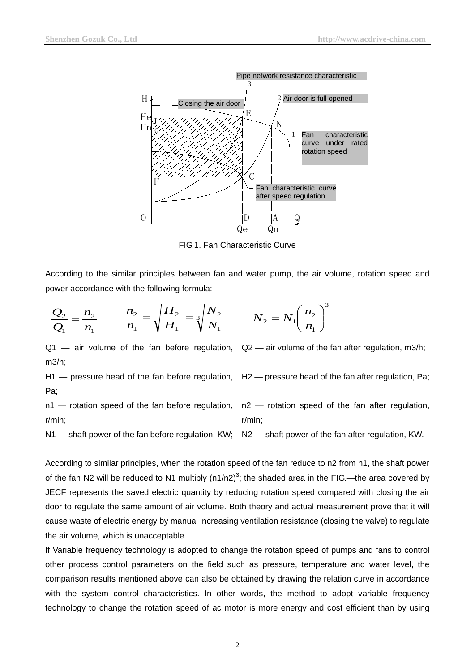

FIG.1. Fan Characteristic Curve

According to the similar principles between fan and water pump, the air volume, rotation speed and power accordance with the following formula:

$$
\frac{Q_2}{Q_1} = \frac{n_2}{n_1} \qquad \frac{n_2}{n_1} = \sqrt{\frac{H_2}{H_1}} = \sqrt[3]{\frac{N_2}{N_1}} \qquad N_2 = N_1
$$

Q1 — air volume of the fan before regulation,  $Q2$  — air volume of the fan after regulation, m3/h; m3/h;

H1 — pressure head of the fan before regulation, H2 — pressure head of the fan after regulation, Pa; Pa;

$$
n1
$$
 — rotation speed of the fan before regulation,  $r/min$ :

$$
N_2 = N_1 \left(\frac{n_2}{n_1}\right)^3
$$

n2 - rotation speed of the fan after regulation, r/min;

N1 — shaft power of the fan before regulation, KW; N2 — shaft power of the fan after regulation, KW.

According to similar principles, when the rotation speed of the fan reduce to n2 from n1, the shaft power of the fan N2 will be reduced to N1 multiply (n1/n2)<sup>3</sup>; the shaded area in the FIG.—the area covered by JECF represents the saved electric quantity by reducing rotation speed compared with closing the air door to regulate the same amount of air volume. Both theory and actual measurement prove that it will cause waste of electric energy by manual increasing ventilation resistance (closing the valve) to regulate the air volume, which is unacceptable.

If Variable frequency technology is adopted to change the rotation speed of pumps and fans to control other process control parameters on the field such as pressure, temperature and water level, the comparison results mentioned above can also be obtained by drawing the relation curve in accordance with the system control characteristics. In other words, the method to adopt variable frequency technology to change the rotation speed of ac motor is more energy and cost efficient than by using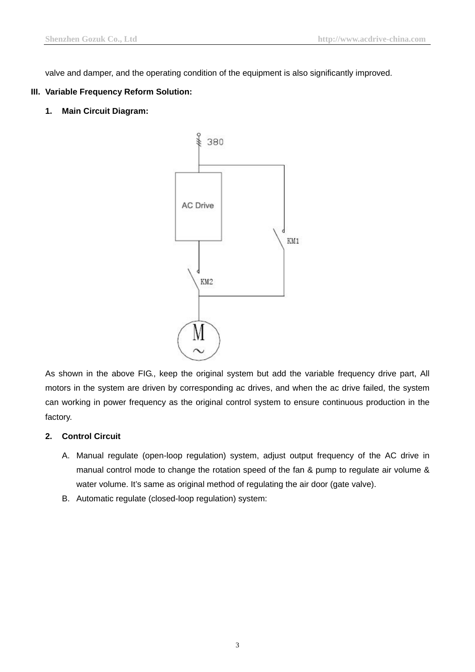valve and damper, and the operating condition of the equipment is also significantly improved.

### **III. Variable Frequency Reform Solution:**

**1. Main Circuit Diagram:**



As shown in the above FIG., keep the original system but add the [variable frequency](http://www.acdrive-china.com/) drive part, All motors in the system are driven by corresponding ac drives, and when the ac drive failed, the system can working in power frequency as the original control system to ensure continuous production in the factory.

## **2. Control Circuit**

- A. Manual regulate (open-loop regulation) system, adjust output frequency of the [AC drive](http://www.acdrive-china.com/products/ac-drive-manufacturer-2532.htm) in manual control mode to change the rotation speed of the fan & pump to regulate air volume & water volume. It's same as original method of regulating the air door (gate valve).
- B. Automatic regulate (closed-loop regulation) system: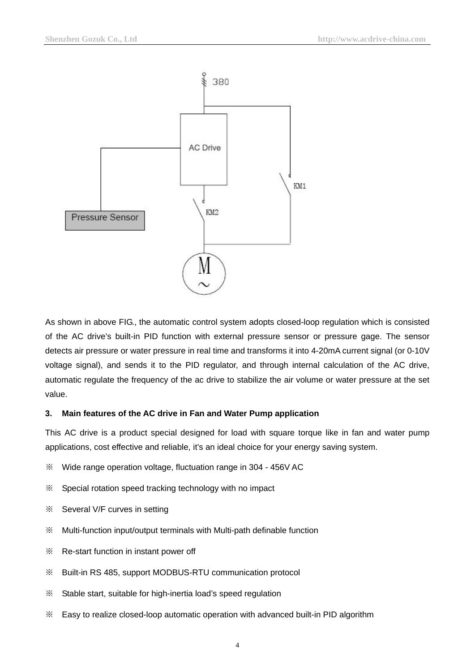

As shown in above FIG., the automatic control system adopts closed-loop regulation which is consisted of the AC drive's built-in PID function with external pressure sensor or pressure gage. The sensor detects air pressure or water pressure in real time and transforms it into 4-20mA current signal (or 0-10V voltage signal), and sends it to the PID regulator, and through internal calculation of the [AC drive,](http://www.acdrive-china.com/products/ac-drive-manufacturer-2532.htm) automatic regulate the frequency of the ac drive to stabilize the air volume or water pressure at the set value.

### **3. Main features of the [AC drive](http://www.acdrive-china.com/products/ac-drive-manufacturer-2532.htm) in Fan and Water Pump application**

This AC drive is a product special designed for load with square torque like in fan and water pump applications, cost effective and reliable, it's an ideal choice for your energy saving system.

- ※ Wide range operation voltage, fluctuation range in 304 456V AC
- ※ Special rotation speed tracking technology with no impact
- ※ Several V/F curves in setting
- ※ Multi-function input/output terminals with Multi-path definable function
- ※ Re-start function in instant power off
- ※ Built-in RS 485, support MODBUS-RTU communication protocol
- ※ Stable start, suitable for high-inertia load's speed regulation
- ※ Easy to realize closed-loop automatic operation with advanced built-in PID algorithm